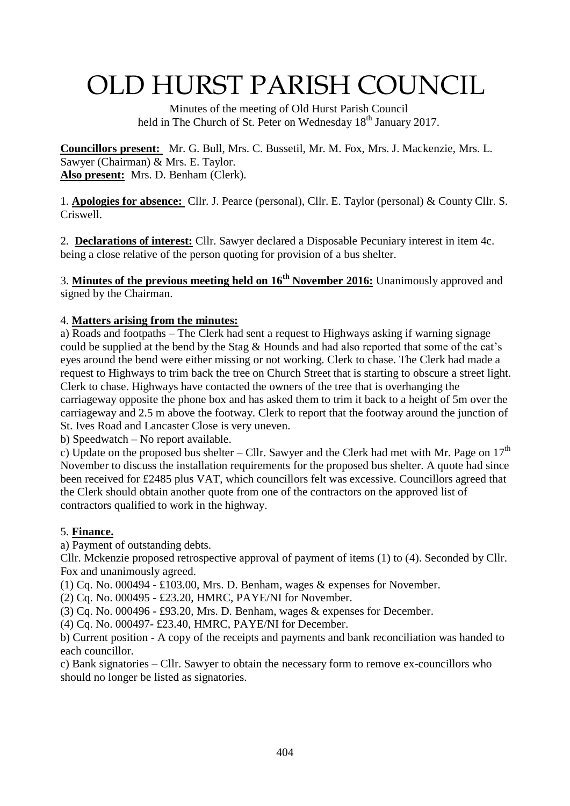# OLD HURST PARISH COUNCIL

 Minutes of the meeting of Old Hurst Parish Council held in The Church of St. Peter on Wednesday 18<sup>th</sup> January 2017.

**Councillors present:** Mr. G. Bull, Mrs. C. Bussetil, Mr. M. Fox, Mrs. J. Mackenzie, Mrs. L. Sawyer (Chairman) & Mrs. E. Taylor. **Also present:** Mrs. D. Benham (Clerk).

1. **Apologies for absence:** Cllr. J. Pearce (personal), Cllr. E. Taylor (personal) & County Cllr. S. Criswell.

2. **Declarations of interest:** Cllr. Sawyer declared a Disposable Pecuniary interest in item 4c. being a close relative of the person quoting for provision of a bus shelter.

3. **Minutes of the previous meeting held on 16th November 2016:** Unanimously approved and signed by the Chairman.

### 4. **Matters arising from the minutes:**

a) Roads and footpaths – The Clerk had sent a request to Highways asking if warning signage could be supplied at the bend by the Stag & Hounds and had also reported that some of the cat's eyes around the bend were either missing or not working. Clerk to chase. The Clerk had made a request to Highways to trim back the tree on Church Street that is starting to obscure a street light. Clerk to chase. Highways have contacted the owners of the tree that is overhanging the carriageway opposite the phone box and has asked them to trim it back to a height of 5m over the carriageway and 2.5 m above the footway. Clerk to report that the footway around the junction of St. Ives Road and Lancaster Close is very uneven.

b) Speedwatch – No report available.

c) Update on the proposed bus shelter – Cllr. Sawyer and the Clerk had met with Mr. Page on  $17<sup>th</sup>$ November to discuss the installation requirements for the proposed bus shelter. A quote had since been received for £2485 plus VAT, which councillors felt was excessive. Councillors agreed that the Clerk should obtain another quote from one of the contractors on the approved list of contractors qualified to work in the highway.

#### 5. **Finance.**

a) Payment of outstanding debts.

Cllr. Mckenzie proposed retrospective approval of payment of items (1) to (4). Seconded by Cllr. Fox and unanimously agreed.

(1) Cq. No. 000494 - £103.00, Mrs. D. Benham, wages & expenses for November.

(2) Cq. No. 000495 - £23.20, HMRC, PAYE/NI for November.

(3) Cq. No. 000496 - £93.20, Mrs. D. Benham, wages & expenses for December.

(4) Cq. No. 000497- £23.40, HMRC, PAYE/NI for December.

b) Current position - A copy of the receipts and payments and bank reconciliation was handed to each councillor.

c) Bank signatories – Cllr. Sawyer to obtain the necessary form to remove ex-councillors who should no longer be listed as signatories.